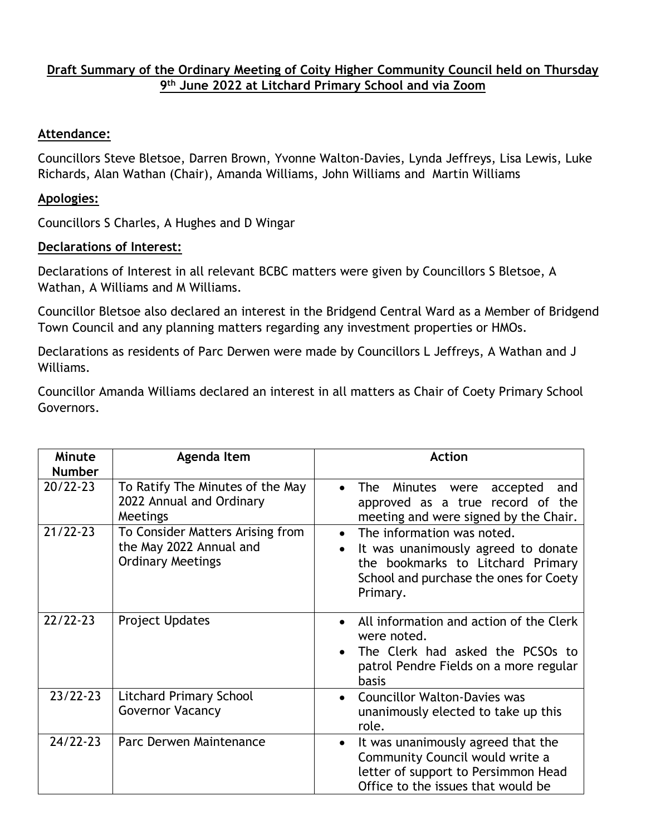## **Draft Summary of the Ordinary Meeting of Coity Higher Community Council held on Thursday 9 th June 2022 at Litchard Primary School and via Zoom**

## **Attendance:**

Councillors Steve Bletsoe, Darren Brown, Yvonne Walton-Davies, Lynda Jeffreys, Lisa Lewis, Luke Richards, Alan Wathan (Chair), Amanda Williams, John Williams and Martin Williams

## **Apologies:**

Councillors S Charles, A Hughes and D Wingar

## **Declarations of Interest:**

Declarations of Interest in all relevant BCBC matters were given by Councillors S Bletsoe, A Wathan, A Williams and M Williams.

Councillor Bletsoe also declared an interest in the Bridgend Central Ward as a Member of Bridgend Town Council and any planning matters regarding any investment properties or HMOs.

Declarations as residents of Parc Derwen were made by Councillors L Jeffreys, A Wathan and J Williams.

Councillor Amanda Williams declared an interest in all matters as Chair of Coety Primary School Governors.

| Minute<br><b>Number</b> | Agenda Item                                                                             | <b>Action</b>                                                                                                                                                                          |
|-------------------------|-----------------------------------------------------------------------------------------|----------------------------------------------------------------------------------------------------------------------------------------------------------------------------------------|
| $20/22 - 23$            | To Ratify The Minutes of the May<br>2022 Annual and Ordinary<br>Meetings                | Minutes were<br><b>The</b><br>accepted<br>and<br>approved as a true record of the<br>meeting and were signed by the Chair.                                                             |
| $21/22 - 23$            | To Consider Matters Arising from<br>the May 2022 Annual and<br><b>Ordinary Meetings</b> | The information was noted.<br>$\bullet$<br>It was unanimously agreed to donate<br>$\bullet$<br>the bookmarks to Litchard Primary<br>School and purchase the ones for Coety<br>Primary. |
| $22/22 - 23$            | <b>Project Updates</b>                                                                  | All information and action of the Clerk<br>were noted.<br>The Clerk had asked the PCSOs to<br>$\bullet$<br>patrol Pendre Fields on a more regular<br>basis                             |
| $23/22 - 23$            | <b>Litchard Primary School</b><br><b>Governor Vacancy</b>                               | <b>Councillor Walton-Davies was</b><br>$\bullet$<br>unanimously elected to take up this<br>role.                                                                                       |
| $24/22 - 23$            | Parc Derwen Maintenance                                                                 | It was unanimously agreed that the<br>$\bullet$<br>Community Council would write a<br>letter of support to Persimmon Head<br>Office to the issues that would be                        |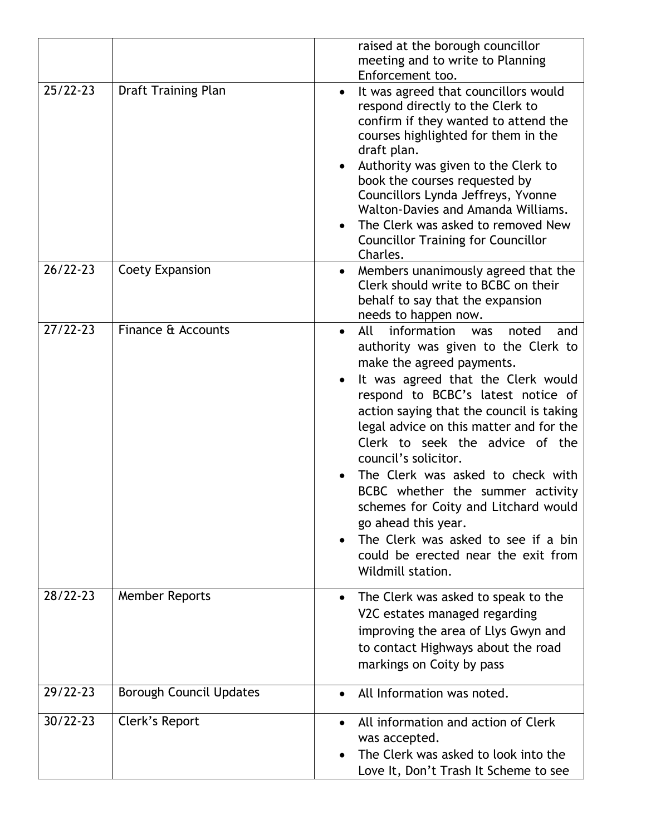|              |                                | raised at the borough councillor<br>meeting and to write to Planning                                                                                                                                                                                                                                                                                                                                                                                                                                                                                                                                |
|--------------|--------------------------------|-----------------------------------------------------------------------------------------------------------------------------------------------------------------------------------------------------------------------------------------------------------------------------------------------------------------------------------------------------------------------------------------------------------------------------------------------------------------------------------------------------------------------------------------------------------------------------------------------------|
| $25/22 - 23$ | <b>Draft Training Plan</b>     | Enforcement too.<br>It was agreed that councillors would<br>$\bullet$<br>respond directly to the Clerk to<br>confirm if they wanted to attend the<br>courses highlighted for them in the<br>draft plan.<br>Authority was given to the Clerk to<br>$\bullet$<br>book the courses requested by<br>Councillors Lynda Jeffreys, Yvonne<br>Walton-Davies and Amanda Williams.<br>The Clerk was asked to removed New<br>$\bullet$<br><b>Councillor Training for Councillor</b><br>Charles.                                                                                                                |
| $26/22 - 23$ | Coety Expansion                | Members unanimously agreed that the<br>Clerk should write to BCBC on their<br>behalf to say that the expansion<br>needs to happen now.                                                                                                                                                                                                                                                                                                                                                                                                                                                              |
| $27/22 - 23$ | Finance & Accounts             | information<br>All<br>noted<br>was<br>and<br>$\bullet$<br>authority was given to the Clerk to<br>make the agreed payments.<br>It was agreed that the Clerk would<br>respond to BCBC's latest notice of<br>action saying that the council is taking<br>legal advice on this matter and for the<br>Clerk to seek the advice of the<br>council's solicitor.<br>The Clerk was asked to check with<br>BCBC whether the summer activity<br>schemes for Coity and Litchard would<br>go ahead this year.<br>The Clerk was asked to see if a bin<br>could be erected near the exit from<br>Wildmill station. |
| 28/22-23     | Member Reports                 | The Clerk was asked to speak to the<br>$\bullet$<br>V2C estates managed regarding<br>improving the area of Llys Gwyn and<br>to contact Highways about the road<br>markings on Coity by pass                                                                                                                                                                                                                                                                                                                                                                                                         |
| 29/22-23     | <b>Borough Council Updates</b> | All Information was noted.<br>$\bullet$                                                                                                                                                                                                                                                                                                                                                                                                                                                                                                                                                             |
| $30/22 - 23$ | Clerk's Report                 | All information and action of Clerk<br>$\bullet$<br>was accepted.<br>The Clerk was asked to look into the<br>$\bullet$<br>Love It, Don't Trash It Scheme to see                                                                                                                                                                                                                                                                                                                                                                                                                                     |